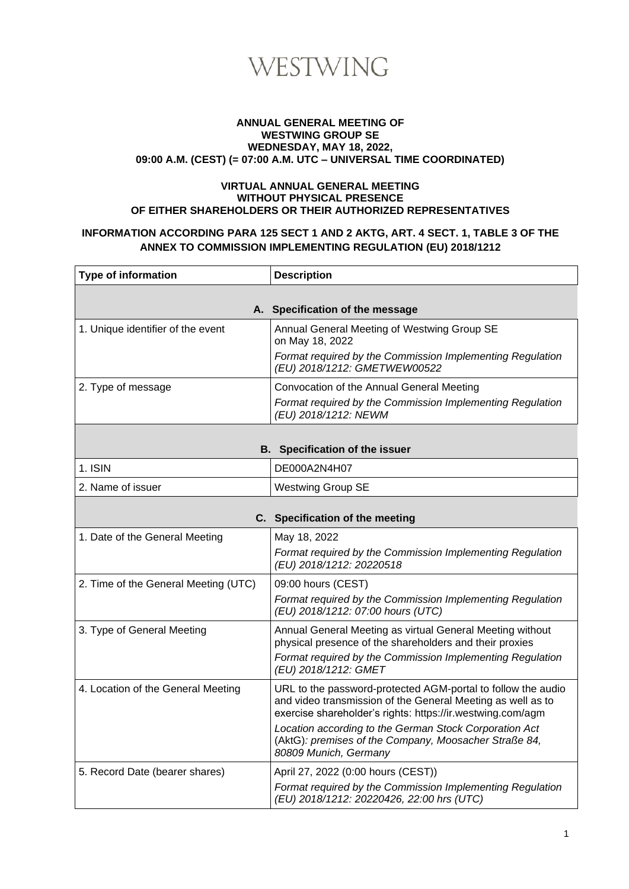

#### **ANNUAL GENERAL MEETING OF WESTWING GROUP SE WEDNESDAY, MAY 18, 2022, 09:00 A.M. (CEST) (= 07:00 A.M. UTC – UNIVERSAL TIME COORDINATED)**

#### **VIRTUAL ANNUAL GENERAL MEETING WITHOUT PHYSICAL PRESENCE OF EITHER SHAREHOLDERS OR THEIR AUTHORIZED REPRESENTATIVES**

#### **INFORMATION ACCORDING PARA 125 SECT 1 AND 2 AKTG, ART. 4 SECT. 1, TABLE 3 OF THE ANNEX TO COMMISSION IMPLEMENTING REGULATION (EU) 2018/1212**

| <b>Type of information</b>           | <b>Description</b>                                                                                                                       |
|--------------------------------------|------------------------------------------------------------------------------------------------------------------------------------------|
|                                      |                                                                                                                                          |
|                                      | A. Specification of the message                                                                                                          |
| 1. Unique identifier of the event    | Annual General Meeting of Westwing Group SE<br>on May 18, 2022                                                                           |
|                                      | Format required by the Commission Implementing Regulation<br>(EU) 2018/1212: GMETWEW00522                                                |
| 2. Type of message                   | Convocation of the Annual General Meeting                                                                                                |
|                                      | Format required by the Commission Implementing Regulation<br>(EU) 2018/1212: NEWM                                                        |
|                                      |                                                                                                                                          |
|                                      | <b>B.</b> Specification of the issuer                                                                                                    |
| 1. ISIN                              | DE000A2N4H07                                                                                                                             |
| 2. Name of issuer                    | <b>Westwing Group SE</b>                                                                                                                 |
|                                      |                                                                                                                                          |
|                                      | C. Specification of the meeting                                                                                                          |
| 1. Date of the General Meeting       | May 18, 2022                                                                                                                             |
|                                      | Format required by the Commission Implementing Regulation<br>(EU) 2018/1212: 20220518                                                    |
| 2. Time of the General Meeting (UTC) | 09:00 hours (CEST)                                                                                                                       |
|                                      | Format required by the Commission Implementing Regulation<br>(EU) 2018/1212: 07:00 hours (UTC)                                           |
| 3. Type of General Meeting           | Annual General Meeting as virtual General Meeting without                                                                                |
|                                      | physical presence of the shareholders and their proxies                                                                                  |
|                                      | Format required by the Commission Implementing Regulation<br>(EU) 2018/1212: GMET                                                        |
| 4. Location of the General Meeting   | URL to the password-protected AGM-portal to follow the audio                                                                             |
|                                      | and video transmission of the General Meeting as well as to<br>exercise shareholder's rights: https://ir.westwing.com/agm                |
|                                      | Location according to the German Stock Corporation Act<br>(AktG): premises of the Company, Moosacher Straße 84,<br>80809 Munich, Germany |
| 5. Record Date (bearer shares)       | April 27, 2022 (0:00 hours (CEST))                                                                                                       |
|                                      | Format required by the Commission Implementing Regulation<br>(EU) 2018/1212: 20220426, 22:00 hrs (UTC)                                   |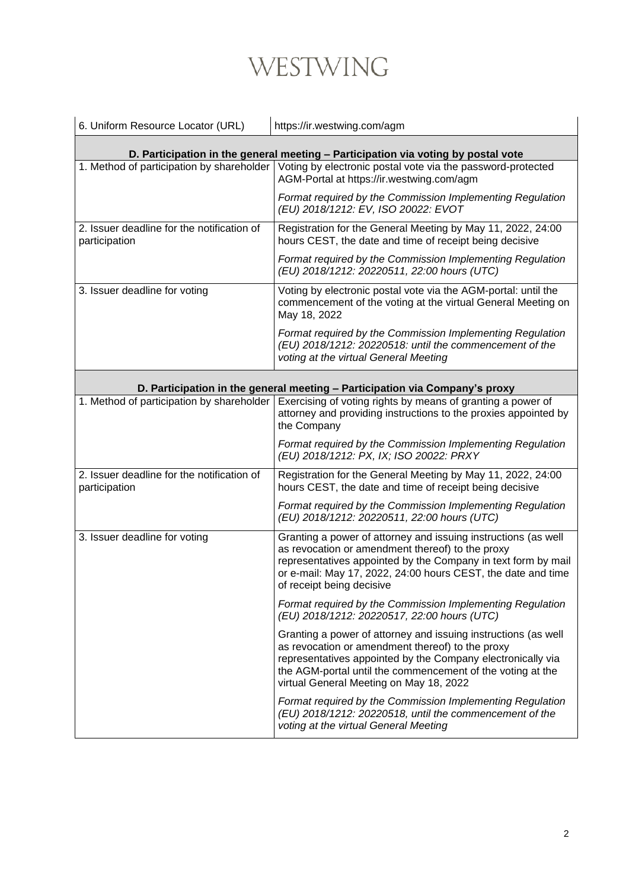|                                                             | https://ir.westwing.com/agm                                                                                                                                                                                                                                                                |
|-------------------------------------------------------------|--------------------------------------------------------------------------------------------------------------------------------------------------------------------------------------------------------------------------------------------------------------------------------------------|
|                                                             | D. Participation in the general meeting - Participation via voting by postal vote                                                                                                                                                                                                          |
|                                                             | 1. Method of participation by shareholder Voting by electronic postal vote via the password-protected<br>AGM-Portal at https://ir.westwing.com/agm                                                                                                                                         |
|                                                             | Format required by the Commission Implementing Regulation<br>(EU) 2018/1212: EV, ISO 20022: EVOT                                                                                                                                                                                           |
| 2. Issuer deadline for the notification of<br>participation | Registration for the General Meeting by May 11, 2022, 24:00<br>hours CEST, the date and time of receipt being decisive                                                                                                                                                                     |
|                                                             | Format required by the Commission Implementing Regulation<br>(EU) 2018/1212: 20220511, 22:00 hours (UTC)                                                                                                                                                                                   |
| 3. Issuer deadline for voting                               | Voting by electronic postal vote via the AGM-portal: until the<br>commencement of the voting at the virtual General Meeting on<br>May 18, 2022                                                                                                                                             |
|                                                             | Format required by the Commission Implementing Regulation<br>(EU) 2018/1212: 20220518: until the commencement of the<br>voting at the virtual General Meeting                                                                                                                              |
|                                                             | D. Participation in the general meeting - Participation via Company's proxy                                                                                                                                                                                                                |
| 1. Method of participation by shareholder                   | Exercising of voting rights by means of granting a power of<br>attorney and providing instructions to the proxies appointed by<br>the Company                                                                                                                                              |
|                                                             | Format required by the Commission Implementing Regulation<br>(EU) 2018/1212: PX, IX; ISO 20022: PRXY                                                                                                                                                                                       |
| 2. Issuer deadline for the notification of<br>participation | Registration for the General Meeting by May 11, 2022, 24:00<br>hours CEST, the date and time of receipt being decisive                                                                                                                                                                     |
|                                                             | Format required by the Commission Implementing Regulation<br>(EU) 2018/1212: 20220511, 22:00 hours (UTC)                                                                                                                                                                                   |
| 3. Issuer deadline for voting                               | Granting a power of attorney and issuing instructions (as well<br>as revocation or amendment thereof) to the proxy<br>representatives appointed by the Company in text form by mail<br>or e-mail: May 17, 2022, 24:00 hours CEST, the date and time<br>of receipt being decisive           |
|                                                             | Format required by the Commission Implementing Regulation<br>(EU) 2018/1212: 20220517, 22:00 hours (UTC)                                                                                                                                                                                   |
|                                                             | Granting a power of attorney and issuing instructions (as well<br>as revocation or amendment thereof) to the proxy<br>representatives appointed by the Company electronically via<br>the AGM-portal until the commencement of the voting at the<br>virtual General Meeting on May 18, 2022 |
|                                                             | Format required by the Commission Implementing Regulation<br>(EU) 2018/1212: 20220518, until the commencement of the<br>voting at the virtual General Meeting                                                                                                                              |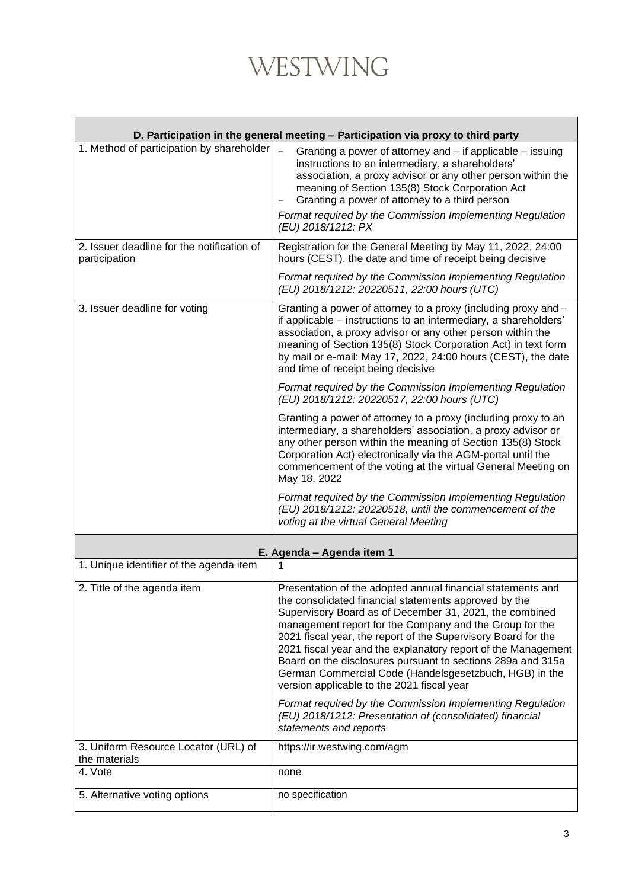|                                                       | D. Participation in the general meeting - Participation via proxy to third party                                                                                                                                                                                                                                                                                                                                                                                                                                                                    |
|-------------------------------------------------------|-----------------------------------------------------------------------------------------------------------------------------------------------------------------------------------------------------------------------------------------------------------------------------------------------------------------------------------------------------------------------------------------------------------------------------------------------------------------------------------------------------------------------------------------------------|
| 1. Method of participation by shareholder             | Granting a power of attorney and – if applicable – issuing<br>instructions to an intermediary, a shareholders'<br>association, a proxy advisor or any other person within the<br>meaning of Section 135(8) Stock Corporation Act<br>Granting a power of attorney to a third person<br>Format required by the Commission Implementing Regulation<br>(EU) 2018/1212: PX                                                                                                                                                                               |
| 2. Issuer deadline for the notification of            | Registration for the General Meeting by May 11, 2022, 24:00                                                                                                                                                                                                                                                                                                                                                                                                                                                                                         |
| participation                                         | hours (CEST), the date and time of receipt being decisive<br>Format required by the Commission Implementing Regulation<br>(EU) 2018/1212: 20220511, 22:00 hours (UTC)                                                                                                                                                                                                                                                                                                                                                                               |
| 3. Issuer deadline for voting                         | Granting a power of attorney to a proxy (including proxy and -<br>if applicable – instructions to an intermediary, a shareholders'<br>association, a proxy advisor or any other person within the<br>meaning of Section 135(8) Stock Corporation Act) in text form<br>by mail or e-mail: May 17, 2022, 24:00 hours (CEST), the date<br>and time of receipt being decisive                                                                                                                                                                           |
|                                                       | Format required by the Commission Implementing Regulation<br>(EU) 2018/1212: 20220517, 22:00 hours (UTC)                                                                                                                                                                                                                                                                                                                                                                                                                                            |
|                                                       | Granting a power of attorney to a proxy (including proxy to an<br>intermediary, a shareholders' association, a proxy advisor or<br>any other person within the meaning of Section 135(8) Stock<br>Corporation Act) electronically via the AGM-portal until the<br>commencement of the voting at the virtual General Meeting on<br>May 18, 2022                                                                                                                                                                                                      |
|                                                       | Format required by the Commission Implementing Regulation<br>(EU) 2018/1212: 20220518, until the commencement of the<br>voting at the virtual General Meeting                                                                                                                                                                                                                                                                                                                                                                                       |
|                                                       | E. Agenda - Agenda item 1                                                                                                                                                                                                                                                                                                                                                                                                                                                                                                                           |
| 1. Unique identifier of the agenda item               | 1                                                                                                                                                                                                                                                                                                                                                                                                                                                                                                                                                   |
| 2. Title of the agenda item                           | Presentation of the adopted annual financial statements and<br>the consolidated financial statements approved by the<br>Supervisory Board as of December 31, 2021, the combined<br>management report for the Company and the Group for the<br>2021 fiscal year, the report of the Supervisory Board for the<br>2021 fiscal year and the explanatory report of the Management<br>Board on the disclosures pursuant to sections 289a and 315a<br>German Commercial Code (Handelsgesetzbuch, HGB) in the<br>version applicable to the 2021 fiscal year |
|                                                       | Format required by the Commission Implementing Regulation<br>(EU) 2018/1212: Presentation of (consolidated) financial<br>statements and reports                                                                                                                                                                                                                                                                                                                                                                                                     |
| 3. Uniform Resource Locator (URL) of<br>the materials | https://ir.westwing.com/agm                                                                                                                                                                                                                                                                                                                                                                                                                                                                                                                         |
| 4. Vote                                               | none                                                                                                                                                                                                                                                                                                                                                                                                                                                                                                                                                |
| 5. Alternative voting options                         | no specification                                                                                                                                                                                                                                                                                                                                                                                                                                                                                                                                    |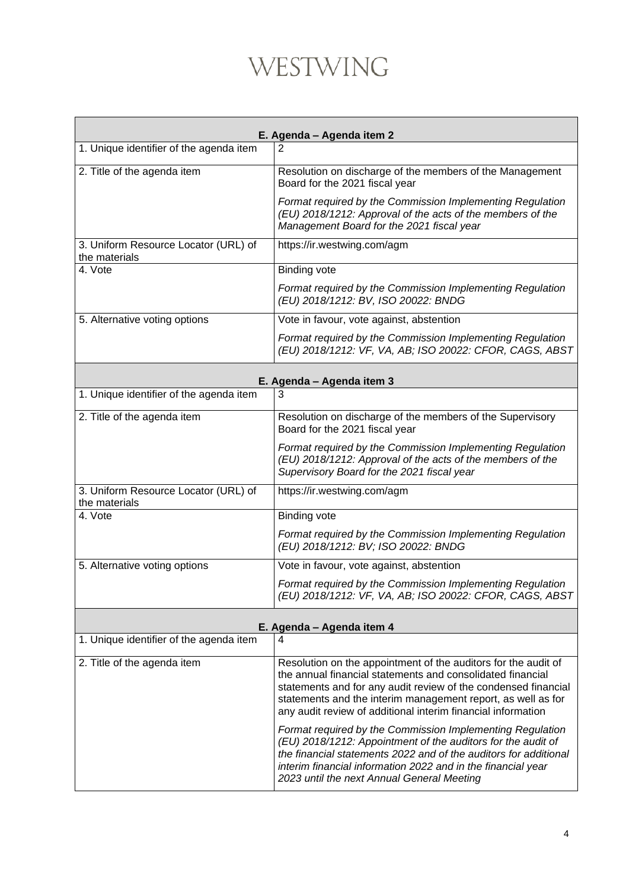| E. Agenda - Agenda item 2                             |                                                                                                                                                                                                                                                                                                                                |  |
|-------------------------------------------------------|--------------------------------------------------------------------------------------------------------------------------------------------------------------------------------------------------------------------------------------------------------------------------------------------------------------------------------|--|
| 1. Unique identifier of the agenda item               | 2                                                                                                                                                                                                                                                                                                                              |  |
| 2. Title of the agenda item                           | Resolution on discharge of the members of the Management<br>Board for the 2021 fiscal year                                                                                                                                                                                                                                     |  |
|                                                       | Format required by the Commission Implementing Regulation<br>(EU) 2018/1212: Approval of the acts of the members of the<br>Management Board for the 2021 fiscal year                                                                                                                                                           |  |
| 3. Uniform Resource Locator (URL) of<br>the materials | https://ir.westwing.com/agm                                                                                                                                                                                                                                                                                                    |  |
| 4. Vote                                               | <b>Binding vote</b>                                                                                                                                                                                                                                                                                                            |  |
|                                                       | Format required by the Commission Implementing Regulation<br>(EU) 2018/1212: BV, ISO 20022: BNDG                                                                                                                                                                                                                               |  |
| 5. Alternative voting options                         | Vote in favour, vote against, abstention                                                                                                                                                                                                                                                                                       |  |
|                                                       | Format required by the Commission Implementing Regulation<br>(EU) 2018/1212: VF, VA, AB; ISO 20022: CFOR, CAGS, ABST                                                                                                                                                                                                           |  |
| E. Agenda - Agenda item 3                             |                                                                                                                                                                                                                                                                                                                                |  |
| 1. Unique identifier of the agenda item               | 3                                                                                                                                                                                                                                                                                                                              |  |
| 2. Title of the agenda item                           | Resolution on discharge of the members of the Supervisory<br>Board for the 2021 fiscal year                                                                                                                                                                                                                                    |  |
|                                                       | Format required by the Commission Implementing Regulation<br>(EU) 2018/1212: Approval of the acts of the members of the<br>Supervisory Board for the 2021 fiscal year                                                                                                                                                          |  |
| 3. Uniform Resource Locator (URL) of<br>the materials | https://ir.westwing.com/agm                                                                                                                                                                                                                                                                                                    |  |
| 4. Vote                                               | <b>Binding vote</b>                                                                                                                                                                                                                                                                                                            |  |
|                                                       | Format required by the Commission Implementing Regulation<br>(EU) 2018/1212: BV; ISO 20022: BNDG                                                                                                                                                                                                                               |  |
| 5. Alternative voting options                         | Vote in favour, vote against, abstention                                                                                                                                                                                                                                                                                       |  |
|                                                       | Format required by the Commission Implementing Regulation<br>(EU) 2018/1212: VF, VA, AB; ISO 20022: CFOR, CAGS, ABST                                                                                                                                                                                                           |  |
|                                                       | E. Agenda - Agenda item 4                                                                                                                                                                                                                                                                                                      |  |
| 1. Unique identifier of the agenda item               | 4                                                                                                                                                                                                                                                                                                                              |  |
| 2. Title of the agenda item                           | Resolution on the appointment of the auditors for the audit of<br>the annual financial statements and consolidated financial<br>statements and for any audit review of the condensed financial<br>statements and the interim management report, as well as for<br>any audit review of additional interim financial information |  |
|                                                       | Format required by the Commission Implementing Regulation<br>(EU) 2018/1212: Appointment of the auditors for the audit of<br>the financial statements 2022 and of the auditors for additional<br>interim financial information 2022 and in the financial year<br>2023 until the next Annual General Meeting                    |  |

 $\mathbf{I}$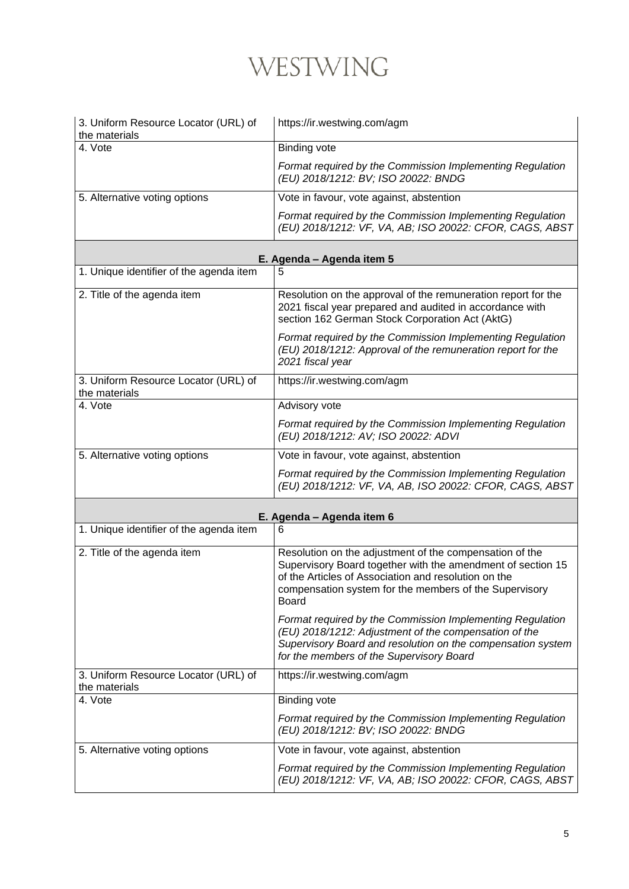| 3. Uniform Resource Locator (URL) of<br>the materials | https://ir.westwing.com/agm                                                                                                                                                                                                                       |  |
|-------------------------------------------------------|---------------------------------------------------------------------------------------------------------------------------------------------------------------------------------------------------------------------------------------------------|--|
| 4. Vote                                               | <b>Binding vote</b>                                                                                                                                                                                                                               |  |
|                                                       | Format required by the Commission Implementing Regulation<br>(EU) 2018/1212: BV; ISO 20022: BNDG                                                                                                                                                  |  |
| 5. Alternative voting options                         | Vote in favour, vote against, abstention                                                                                                                                                                                                          |  |
|                                                       | Format required by the Commission Implementing Regulation<br>(EU) 2018/1212: VF, VA, AB; ISO 20022: CFOR, CAGS, ABST                                                                                                                              |  |
|                                                       | E. Agenda - Agenda item 5                                                                                                                                                                                                                         |  |
| 1. Unique identifier of the agenda item               | 5                                                                                                                                                                                                                                                 |  |
| 2. Title of the agenda item                           | Resolution on the approval of the remuneration report for the<br>2021 fiscal year prepared and audited in accordance with<br>section 162 German Stock Corporation Act (AktG)                                                                      |  |
|                                                       | Format required by the Commission Implementing Regulation<br>(EU) 2018/1212: Approval of the remuneration report for the<br>2021 fiscal year                                                                                                      |  |
| 3. Uniform Resource Locator (URL) of<br>the materials | https://ir.westwing.com/agm                                                                                                                                                                                                                       |  |
| 4. Vote                                               | Advisory vote                                                                                                                                                                                                                                     |  |
|                                                       | Format required by the Commission Implementing Regulation<br>(EU) 2018/1212: AV; ISO 20022: ADVI                                                                                                                                                  |  |
| 5. Alternative voting options                         | Vote in favour, vote against, abstention                                                                                                                                                                                                          |  |
|                                                       | Format required by the Commission Implementing Regulation<br>(EU) 2018/1212: VF, VA, AB, ISO 20022: CFOR, CAGS, ABST                                                                                                                              |  |
| E. Agenda - Agenda item 6                             |                                                                                                                                                                                                                                                   |  |
| 1. Unique identifier of the agenda item               | 6                                                                                                                                                                                                                                                 |  |
| 2. Title of the agenda item                           | Resolution on the adjustment of the compensation of the<br>Supervisory Board together with the amendment of section 15<br>of the Articles of Association and resolution on the<br>compensation system for the members of the Supervisory<br>Board |  |
|                                                       | Format required by the Commission Implementing Regulation<br>(EU) 2018/1212: Adjustment of the compensation of the<br>Supervisory Board and resolution on the compensation system<br>for the members of the Supervisory Board                     |  |
| 3. Uniform Resource Locator (URL) of<br>the materials | https://ir.westwing.com/agm                                                                                                                                                                                                                       |  |
| 4. Vote                                               | <b>Binding vote</b>                                                                                                                                                                                                                               |  |
|                                                       | Format required by the Commission Implementing Regulation<br>(EU) 2018/1212: BV; ISO 20022: BNDG                                                                                                                                                  |  |
| 5. Alternative voting options                         | Vote in favour, vote against, abstention                                                                                                                                                                                                          |  |
|                                                       | Format required by the Commission Implementing Regulation<br>(EU) 2018/1212: VF, VA, AB; ISO 20022: CFOR, CAGS, ABST                                                                                                                              |  |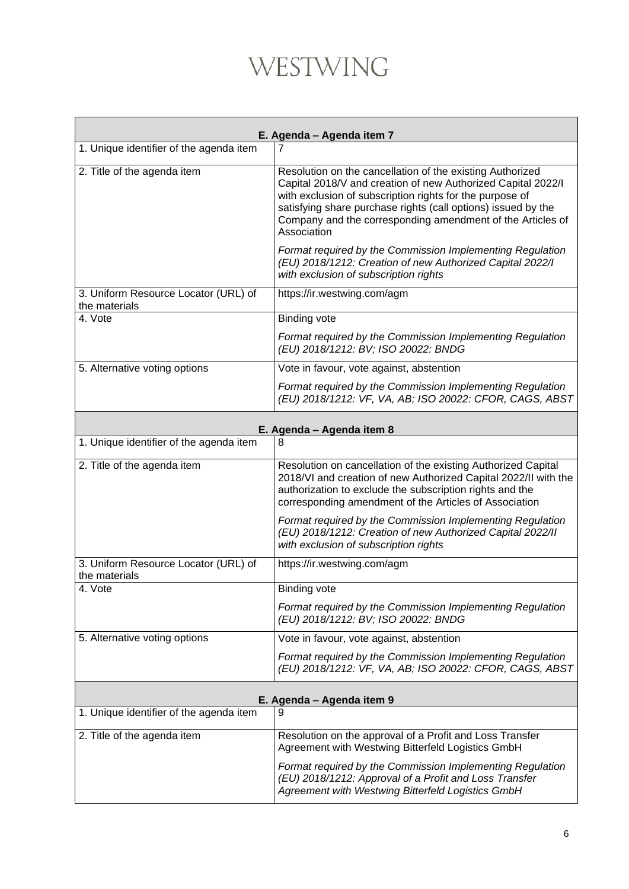| E. Agenda - Agenda item 7                             |                                                                                                                                                                                                                                                                                                                                     |
|-------------------------------------------------------|-------------------------------------------------------------------------------------------------------------------------------------------------------------------------------------------------------------------------------------------------------------------------------------------------------------------------------------|
| 1. Unique identifier of the agenda item               | 7                                                                                                                                                                                                                                                                                                                                   |
| 2. Title of the agenda item                           | Resolution on the cancellation of the existing Authorized<br>Capital 2018/V and creation of new Authorized Capital 2022/I<br>with exclusion of subscription rights for the purpose of<br>satisfying share purchase rights (call options) issued by the<br>Company and the corresponding amendment of the Articles of<br>Association |
|                                                       | Format required by the Commission Implementing Regulation<br>(EU) 2018/1212: Creation of new Authorized Capital 2022/I<br>with exclusion of subscription rights                                                                                                                                                                     |
| 3. Uniform Resource Locator (URL) of<br>the materials | https://ir.westwing.com/agm                                                                                                                                                                                                                                                                                                         |
| 4. Vote                                               | <b>Binding vote</b>                                                                                                                                                                                                                                                                                                                 |
|                                                       | Format required by the Commission Implementing Regulation<br>(EU) 2018/1212: BV; ISO 20022: BNDG                                                                                                                                                                                                                                    |
| 5. Alternative voting options                         | Vote in favour, vote against, abstention                                                                                                                                                                                                                                                                                            |
|                                                       | Format required by the Commission Implementing Regulation<br>(EU) 2018/1212: VF, VA, AB; ISO 20022: CFOR, CAGS, ABST                                                                                                                                                                                                                |
| E. Agenda - Agenda item 8                             |                                                                                                                                                                                                                                                                                                                                     |
| 1. Unique identifier of the agenda item               | 8                                                                                                                                                                                                                                                                                                                                   |
| 2. Title of the agenda item                           | Resolution on cancellation of the existing Authorized Capital<br>2018/VI and creation of new Authorized Capital 2022/II with the<br>authorization to exclude the subscription rights and the<br>corresponding amendment of the Articles of Association                                                                              |
|                                                       | Format required by the Commission Implementing Regulation<br>(EU) 2018/1212: Creation of new Authorized Capital 2022/II<br>with exclusion of subscription rights                                                                                                                                                                    |
| 3. Uniform Resource Locator (URL) of<br>the materials | https://ir.westwing.com/agm                                                                                                                                                                                                                                                                                                         |
| 4. Vote                                               | <b>Binding vote</b>                                                                                                                                                                                                                                                                                                                 |
|                                                       | Format required by the Commission Implementing Regulation<br>(EU) 2018/1212: BV; ISO 20022: BNDG                                                                                                                                                                                                                                    |
| 5. Alternative voting options                         | Vote in favour, vote against, abstention                                                                                                                                                                                                                                                                                            |
|                                                       | Format required by the Commission Implementing Regulation<br>(EU) 2018/1212: VF, VA, AB; ISO 20022: CFOR, CAGS, ABST                                                                                                                                                                                                                |
| E. Agenda - Agenda item 9                             |                                                                                                                                                                                                                                                                                                                                     |
| 1. Unique identifier of the agenda item               | 9                                                                                                                                                                                                                                                                                                                                   |
| 2. Title of the agenda item                           | Resolution on the approval of a Profit and Loss Transfer<br>Agreement with Westwing Bitterfeld Logistics GmbH                                                                                                                                                                                                                       |
|                                                       | Format required by the Commission Implementing Regulation<br>(EU) 2018/1212: Approval of a Profit and Loss Transfer<br>Agreement with Westwing Bitterfeld Logistics GmbH                                                                                                                                                            |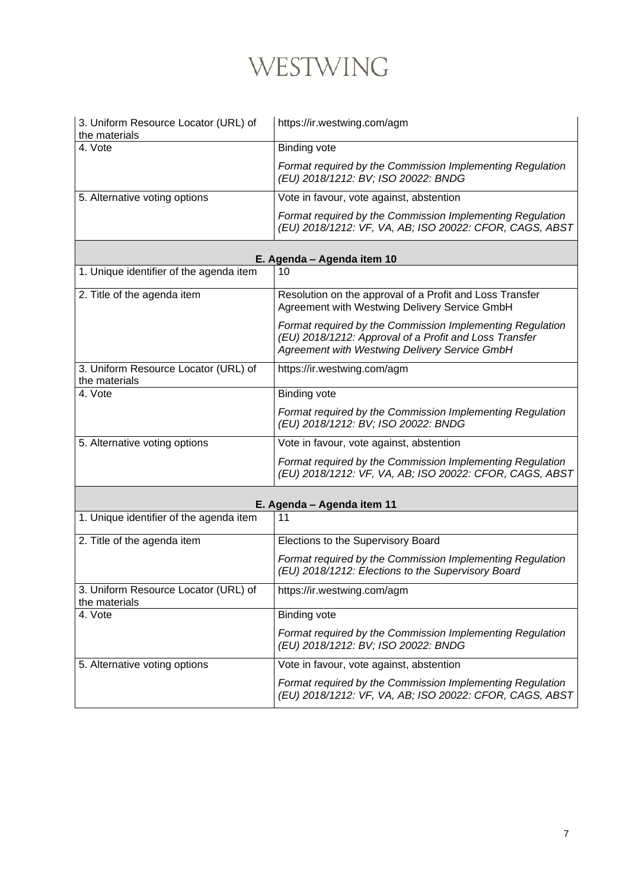| 3. Uniform Resource Locator (URL) of<br>the materials | https://ir.westwing.com/agm                                                                                                                                          |
|-------------------------------------------------------|----------------------------------------------------------------------------------------------------------------------------------------------------------------------|
| 4. Vote                                               | <b>Binding vote</b>                                                                                                                                                  |
|                                                       | Format required by the Commission Implementing Regulation<br>(EU) 2018/1212: BV; ISO 20022: BNDG                                                                     |
| 5. Alternative voting options                         | Vote in favour, vote against, abstention                                                                                                                             |
|                                                       | Format required by the Commission Implementing Regulation<br>(EU) 2018/1212: VF, VA, AB; ISO 20022: CFOR, CAGS, ABST                                                 |
|                                                       | E. Agenda - Agenda item 10                                                                                                                                           |
| 1. Unique identifier of the agenda item               | 10                                                                                                                                                                   |
| 2. Title of the agenda item                           | Resolution on the approval of a Profit and Loss Transfer<br>Agreement with Westwing Delivery Service GmbH                                                            |
|                                                       | Format required by the Commission Implementing Regulation<br>(EU) 2018/1212: Approval of a Profit and Loss Transfer<br>Agreement with Westwing Delivery Service GmbH |
| 3. Uniform Resource Locator (URL) of<br>the materials | https://ir.westwing.com/agm                                                                                                                                          |
| 4. Vote                                               | <b>Binding vote</b>                                                                                                                                                  |
|                                                       | Format required by the Commission Implementing Regulation<br>(EU) 2018/1212: BV; ISO 20022: BNDG                                                                     |
| 5. Alternative voting options                         | Vote in favour, vote against, abstention                                                                                                                             |
|                                                       | Format required by the Commission Implementing Regulation<br>(EU) 2018/1212: VF, VA, AB; ISO 20022: CFOR, CAGS, ABST                                                 |
|                                                       | E. Agenda - Agenda item 11                                                                                                                                           |
| 1. Unique identifier of the agenda item               | 11                                                                                                                                                                   |
| 2. Title of the agenda item                           | Elections to the Supervisory Board                                                                                                                                   |
|                                                       | Format required by the Commission Implementing Regulation<br>(EU) 2018/1212: Elections to the Supervisory Board                                                      |
| 3. Uniform Resource Locator (URL) of<br>the materials | https://ir.westwing.com/agm                                                                                                                                          |
| 4. Vote                                               | <b>Binding vote</b>                                                                                                                                                  |
|                                                       | Format required by the Commission Implementing Regulation<br>(EU) 2018/1212: BV; ISO 20022: BNDG                                                                     |
| 5. Alternative voting options                         | Vote in favour, vote against, abstention                                                                                                                             |
|                                                       | Format required by the Commission Implementing Regulation<br>(EU) 2018/1212: VF, VA, AB; ISO 20022: CFOR, CAGS, ABST                                                 |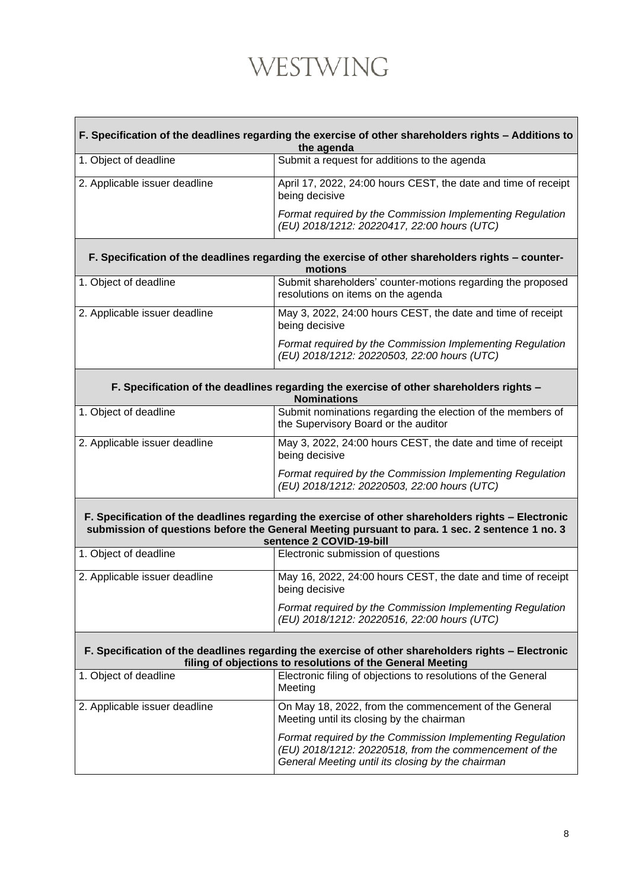#### **F. Specification of the deadlines regarding the exercise of other shareholders rights – Additions to the agenda**

| 1. Object of deadline         | Submit a request for additions to the agenda                                                             |
|-------------------------------|----------------------------------------------------------------------------------------------------------|
| 2. Applicable issuer deadline | April 17, 2022, 24:00 hours CEST, the date and time of receipt<br>being decisive                         |
|                               | Format required by the Commission Implementing Regulation<br>(EU) 2018/1212: 20220417, 22:00 hours (UTC) |

#### **F. Specification of the deadlines regarding the exercise of other shareholders rights – countermotions**

| 1. Object of deadline         | Submit shareholders' counter-motions regarding the proposed<br>resolutions on items on the agenda        |
|-------------------------------|----------------------------------------------------------------------------------------------------------|
| 2. Applicable issuer deadline | May 3, 2022, 24:00 hours CEST, the date and time of receipt<br>being decisive                            |
|                               | Format required by the Commission Implementing Regulation<br>(EU) 2018/1212: 20220503, 22:00 hours (UTC) |

**F. Specification of the deadlines regarding the exercise of other shareholders rights –**

| <b>Nominations</b>            |                                                                                                          |
|-------------------------------|----------------------------------------------------------------------------------------------------------|
| 1. Object of deadline         | Submit nominations regarding the election of the members of<br>the Supervisory Board or the auditor      |
| 2. Applicable issuer deadline | May 3, 2022, 24:00 hours CEST, the date and time of receipt<br>being decisive                            |
|                               | Format required by the Commission Implementing Regulation<br>(EU) 2018/1212: 20220503, 22:00 hours (UTC) |

**F. Specification of the deadlines regarding the exercise of other shareholders rights – Electronic submission of questions before the General Meeting pursuant to para. 1 sec. 2 sentence 1 no. 3 sentence 2 COVID-19-bill**

| 1. Object of deadline         | Electronic submission of questions                                                                       |
|-------------------------------|----------------------------------------------------------------------------------------------------------|
| 2. Applicable issuer deadline | May 16, 2022, 24:00 hours CEST, the date and time of receipt<br>being decisive                           |
|                               | Format required by the Commission Implementing Regulation<br>(EU) 2018/1212: 20220516, 22:00 hours (UTC) |

#### **F. Specification of the deadlines regarding the exercise of other shareholders rights – Electronic filing of objections to resolutions of the General Meeting**

| 1. Object of deadline         | Electronic filing of objections to resolutions of the General<br>Meeting                                                                                                 |
|-------------------------------|--------------------------------------------------------------------------------------------------------------------------------------------------------------------------|
| 2. Applicable issuer deadline | On May 18, 2022, from the commencement of the General<br>Meeting until its closing by the chairman                                                                       |
|                               | Format required by the Commission Implementing Regulation<br>(EU) 2018/1212: 20220518, from the commencement of the<br>General Meeting until its closing by the chairman |